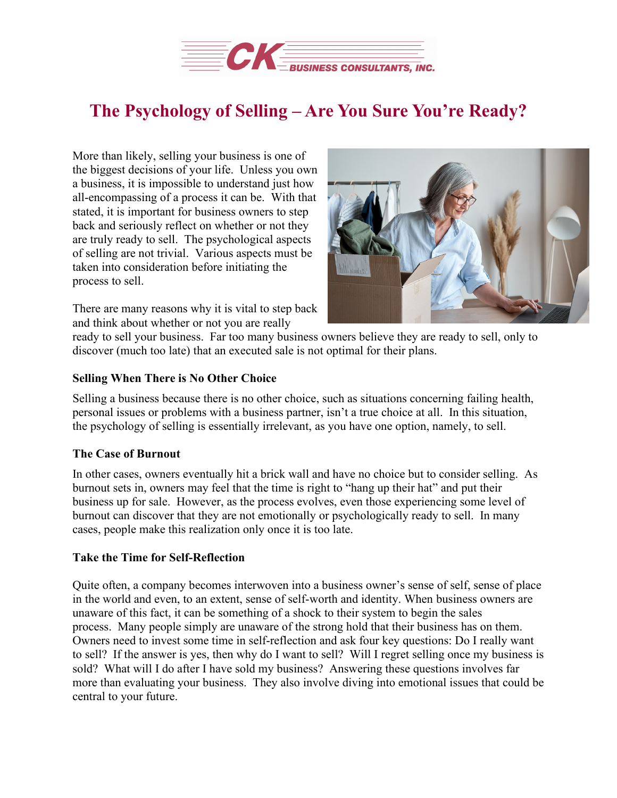

# **The Psychology of Selling – Are You Sure You're Ready?**

More than likely, selling your business is one of the biggest decisions of your life. Unless you own a business, it is impossible to understand just how all-encompassing of a process it can be. With that stated, it is important for business owners to step back and seriously reflect on whether or not they are truly ready to sell. The psychological aspects of selling are not trivial. Various aspects must be taken into consideration before initiating the process to sell.

There are many reasons why it is vital to step back and think about whether or not you are really



ready to sell your business. Far too many business owners believe they are ready to sell, only to discover (much too late) that an executed sale is not optimal for their plans.

## **Selling When There is No Other Choice**

Selling a business because there is no other choice, such as situations concerning failing health, personal issues or problems with a business partner, isn't a true choice at all. In this situation, the psychology of selling is essentially irrelevant, as you have one option, namely, to sell.

## **The Case of Burnout**

In other cases, owners eventually hit a brick wall and have no choice but to consider selling. As burnout sets in, owners may feel that the time is right to "hang up their hat" and put their business up for sale. However, as the process evolves, even those experiencing some level of burnout can discover that they are not emotionally or psychologically ready to sell. In many cases, people make this realization only once it is too late.

## **Take the Time for Self-Reflection**

Quite often, a company becomes interwoven into a business owner's sense of self, sense of place in the world and even, to an extent, sense of self-worth and identity. When business owners are unaware of this fact, it can be something of a shock to their system to begin the sales process. Many people simply are unaware of the strong hold that their business has on them. Owners need to invest some time in self-reflection and ask four key questions: Do I really want to sell? If the answer is yes, then why do I want to sell? Will I regret selling once my business is sold? What will I do after I have sold my business? Answering these questions involves far more than evaluating your business. They also involve diving into emotional issues that could be central to your future.